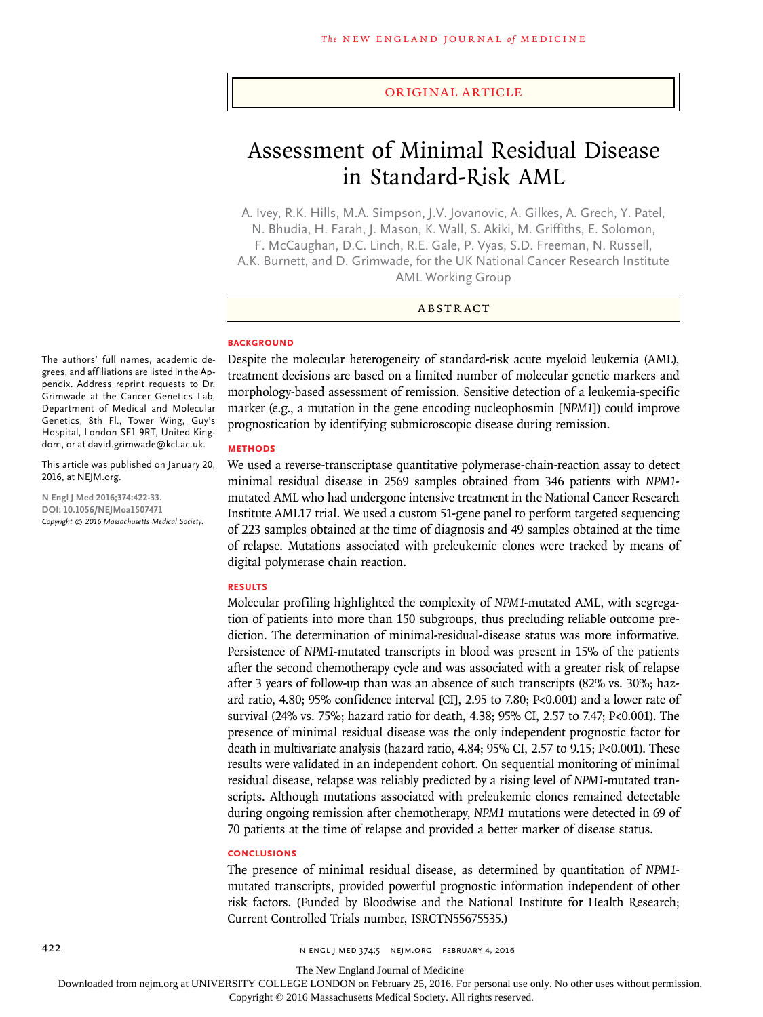### Original Article

# Assessment of Minimal Residual Disease in Standard-Risk AML

A. Ivey, R.K. Hills, M.A. Simpson, J.V. Jovanovic, A. Gilkes, A. Grech, Y. Patel, N. Bhudia, H. Farah, J. Mason, K. Wall, S. Akiki, M. Griffiths, E. Solomon, F. McCaughan, D.C. Linch, R.E. Gale, P. Vyas, S.D. Freeman, N. Russell, A.K. Burnett, and D. Grimwade, for the UK National Cancer Research Institute AML Working Group

# ABSTRACT

#### **BACKGROUND**

The authors' full names, academic degrees, and affiliations are listed in the Appendix. Address reprint requests to Dr. Grimwade at the Cancer Genetics Lab, Department of Medical and Molecular Genetics, 8th Fl., Tower Wing, Guy's Hospital, London SE1 9RT, United Kingdom, or at david.grimwade@kcl.ac.uk.

This article was published on January 20, 2016, at NEJM.org.

**N Engl J Med 2016;374:422-33. DOI: 10.1056/NEJMoa1507471** *Copyright © 2016 Massachusetts Medical Society.* Despite the molecular heterogeneity of standard-risk acute myeloid leukemia (AML), treatment decisions are based on a limited number of molecular genetic markers and morphology-based assessment of remission. Sensitive detection of a leukemia-specific marker (e.g., a mutation in the gene encoding nucleophosmin [*NPM1*]) could improve prognostication by identifying submicroscopic disease during remission.

## **METHODS**

We used a reverse-transcriptase quantitative polymerase-chain-reaction assay to detect minimal residual disease in 2569 samples obtained from 346 patients with *NPM1* mutated AML who had undergone intensive treatment in the National Cancer Research Institute AML17 trial. We used a custom 51-gene panel to perform targeted sequencing of 223 samples obtained at the time of diagnosis and 49 samples obtained at the time of relapse. Mutations associated with preleukemic clones were tracked by means of digital polymerase chain reaction.

#### **RESULTS**

Molecular profiling highlighted the complexity of *NPM1*-mutated AML, with segregation of patients into more than 150 subgroups, thus precluding reliable outcome prediction. The determination of minimal-residual-disease status was more informative. Persistence of *NPM1*-mutated transcripts in blood was present in 15% of the patients after the second chemotherapy cycle and was associated with a greater risk of relapse after 3 years of follow-up than was an absence of such transcripts (82% vs. 30%; hazard ratio, 4.80; 95% confidence interval [CI], 2.95 to 7.80; P<0.001) and a lower rate of survival (24% vs. 75%; hazard ratio for death, 4.38; 95% CI, 2.57 to 7.47; P<0.001). The presence of minimal residual disease was the only independent prognostic factor for death in multivariate analysis (hazard ratio, 4.84; 95% CI, 2.57 to 9.15; P<0.001). These results were validated in an independent cohort. On sequential monitoring of minimal residual disease, relapse was reliably predicted by a rising level of *NPM1*-mutated transcripts. Although mutations associated with preleukemic clones remained detectable during ongoing remission after chemotherapy, *NPM1* mutations were detected in 69 of 70 patients at the time of relapse and provided a better marker of disease status.

#### **CONCLUSIONS**

The presence of minimal residual disease, as determined by quantitation of *NPM1* mutated transcripts, provided powerful prognostic information independent of other risk factors. (Funded by Bloodwise and the National Institute for Health Research; Current Controlled Trials number, ISRCTN55675535.)

422 **n engl j med 374;5 nejm.org FEBRUARY 4, 2016** n engl j med 374;5 nejm.org FEBRUARY 4, 2016

The New England Journal of Medicine

Downloaded from nejm.org at UNIVERSITY COLLEGE LONDON on February 25, 2016. For personal use only. No other uses without permission.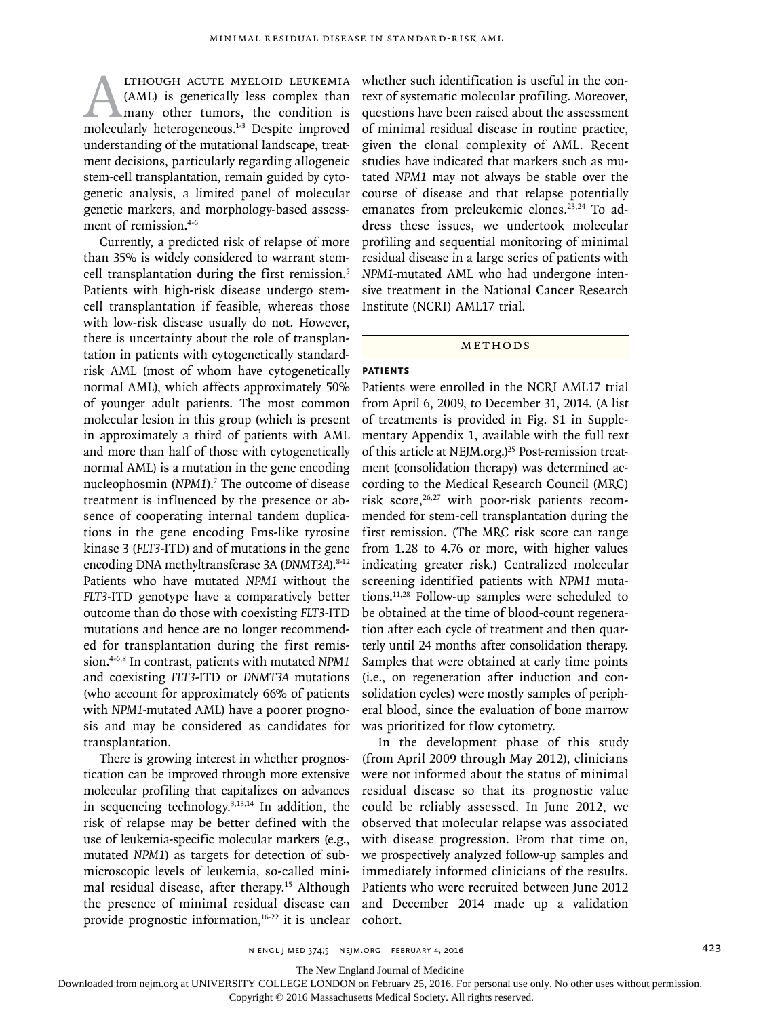**EXECUTE MYELOID LEUKEMIA**<br>(AML) is genetically less complex than<br>many other tumors, the condition is<br>molecularly heterogeneous.<sup>1-3</sup> Despite improved (AML) is genetically less complex than many other tumors, the condition is molecularly heterogeneous.<sup>1-3</sup> Despite improved understanding of the mutational landscape, treatment decisions, particularly regarding allogeneic stem-cell transplantation, remain guided by cytogenetic analysis, a limited panel of molecular genetic markers, and morphology-based assessment of remission.<sup>4-6</sup>

Currently, a predicted risk of relapse of more than 35% is widely considered to warrant stemcell transplantation during the first remission.<sup>5</sup> Patients with high-risk disease undergo stemcell transplantation if feasible, whereas those with low-risk disease usually do not. However, there is uncertainty about the role of transplantation in patients with cytogenetically standardrisk AML (most of whom have cytogenetically normal AML), which affects approximately 50% of younger adult patients. The most common molecular lesion in this group (which is present in approximately a third of patients with AML and more than half of those with cytogenetically normal AML) is a mutation in the gene encoding nucleophosmin (NPM1).<sup>7</sup> The outcome of disease treatment is influenced by the presence or absence of cooperating internal tandem duplications in the gene encoding Fms-like tyrosine kinase 3 (*FLT3*-ITD) and of mutations in the gene encoding DNA methyltransferase 3A (*DNMT3A*).<sup>8-12</sup> Patients who have mutated *NPM1* without the *FLT3*-ITD genotype have a comparatively better outcome than do those with coexisting *FLT3*-ITD mutations and hence are no longer recommended for transplantation during the first remission.4-6,8 In contrast, patients with mutated *NPM1* and coexisting *FLT3*-ITD or *DNMT3A* mutations (who account for approximately 66% of patients with *NPM1*-mutated AML) have a poorer prognosis and may be considered as candidates for transplantation.

There is growing interest in whether prognostication can be improved through more extensive molecular profiling that capitalizes on advances in sequencing technology.3,13,14 In addition, the risk of relapse may be better defined with the use of leukemia-specific molecular markers (e.g., mutated *NPM1*) as targets for detection of submicroscopic levels of leukemia, so-called minimal residual disease, after therapy.15 Although the presence of minimal residual disease can provide prognostic information,<sup>16-22</sup> it is unclear whether such identification is useful in the context of systematic molecular profiling. Moreover, questions have been raised about the assessment of minimal residual disease in routine practice, given the clonal complexity of AML. Recent studies have indicated that markers such as mutated *NPM1* may not always be stable over the course of disease and that relapse potentially emanates from preleukemic clones.<sup>23,24</sup> To address these issues, we undertook molecular profiling and sequential monitoring of minimal residual disease in a large series of patients with *NPM1*-mutated AML who had undergone intensive treatment in the National Cancer Research Institute (NCRI) AML17 trial.

### Methods

# **Patients**

Patients were enrolled in the NCRI AML17 trial from April 6, 2009, to December 31, 2014. (A list of treatments is provided in Fig. S1 in Supplementary Appendix 1, available with the full text of this article at NEJM.org.)<sup>25</sup> Post-remission treatment (consolidation therapy) was determined according to the Medical Research Council (MRC) risk score,<sup>26,27</sup> with poor-risk patients recommended for stem-cell transplantation during the first remission. (The MRC risk score can range from 1.28 to 4.76 or more, with higher values indicating greater risk.) Centralized molecular screening identified patients with *NPM1* mutations.11,28 Follow-up samples were scheduled to be obtained at the time of blood-count regeneration after each cycle of treatment and then quarterly until 24 months after consolidation therapy. Samples that were obtained at early time points (i.e., on regeneration after induction and consolidation cycles) were mostly samples of peripheral blood, since the evaluation of bone marrow was prioritized for flow cytometry.

In the development phase of this study (from April 2009 through May 2012), clinicians were not informed about the status of minimal residual disease so that its prognostic value could be reliably assessed. In June 2012, we observed that molecular relapse was associated with disease progression. From that time on, we prospectively analyzed follow-up samples and immediately informed clinicians of the results. Patients who were recruited between June 2012 and December 2014 made up a validation cohort.

The New England Journal of Medicine

Downloaded from nejm.org at UNIVERSITY COLLEGE LONDON on February 25, 2016. For personal use only. No other uses without permission.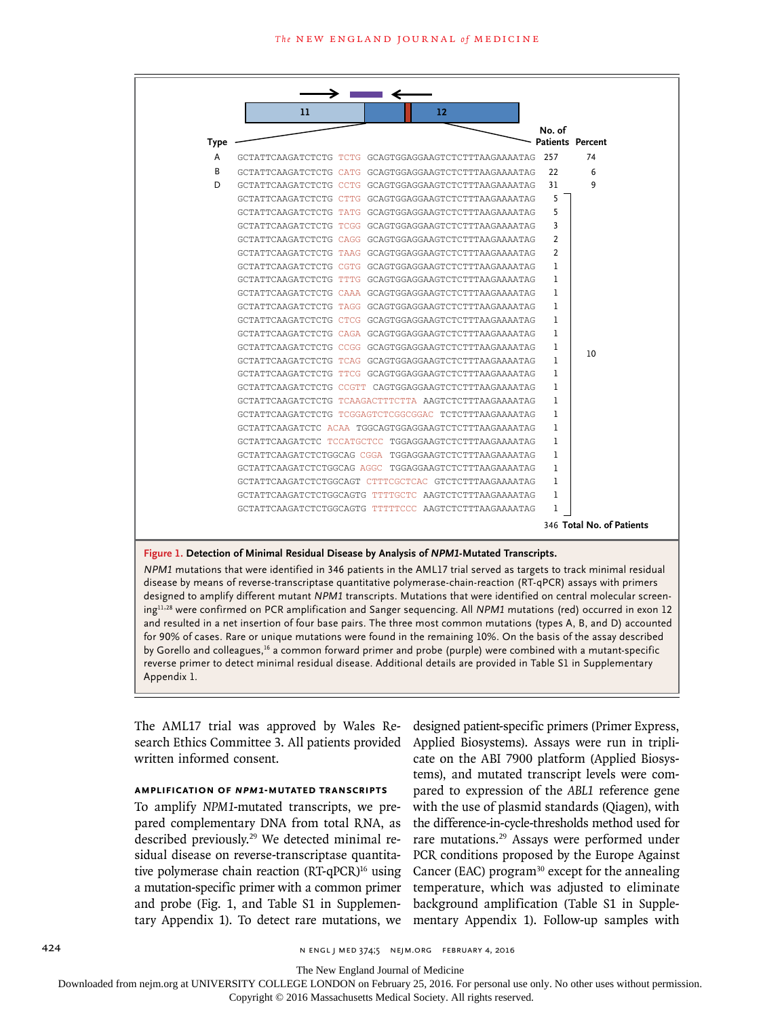

## **Figure 1. Detection of Minimal Residual Disease by Analysis of** *NPM1***-Mutated Transcripts.**

*NPM1* mutations that were identified in 346 patients in the AML17 trial served as targets to track minimal residual disease by means of reverse-transcriptase quantitative polymerase-chain-reaction (RT-qPCR) assays with primers designed to amplify different mutant *NPM1* transcripts. Mutations that were identified on central molecular screening11,28 were confirmed on PCR amplification and Sanger sequencing. All *NPM1* mutations (red) occurred in exon 12 and resulted in a net insertion of four base pairs. The three most common mutations (types A, B, and D) accounted for 90% of cases. Rare or unique mutations were found in the remaining 10%. On the basis of the assay described by Gorello and colleagues,16 a common forward primer and probe (purple) were combined with a mutant-specific reverse primer to detect minimal residual disease. Additional details are provided in Table S1 in Supplementary Appendix 1.

The AML17 trial was approved by Wales Research Ethics Committee 3. All patients provided written informed consent.

# **Amplification of** *NPM1***-Mutated Transcripts**

To amplify *NPM1*-mutated transcripts, we prepared complementary DNA from total RNA, as described previously.29 We detected minimal residual disease on reverse-transcriptase quantitative polymerase chain reaction (RT-qPCR)<sup>16</sup> using a mutation-specific primer with a common primer and probe (Fig. 1, and Table S1 in Supplementary Appendix 1). To detect rare mutations, we designed patient-specific primers (Primer Express, Applied Biosystems). Assays were run in triplicate on the ABI 7900 platform (Applied Biosystems), and mutated transcript levels were compared to expression of the *ABL1* reference gene with the use of plasmid standards (Qiagen), with the difference-in-cycle-thresholds method used for rare mutations.29 Assays were performed under PCR conditions proposed by the Europe Against Cancer (EAC) program $30$  except for the annealing temperature, which was adjusted to eliminate background amplification (Table S1 in Supplementary Appendix 1). Follow-up samples with

The New England Journal of Medicine

Downloaded from nejm.org at UNIVERSITY COLLEGE LONDON on February 25, 2016. For personal use only. No other uses without permission.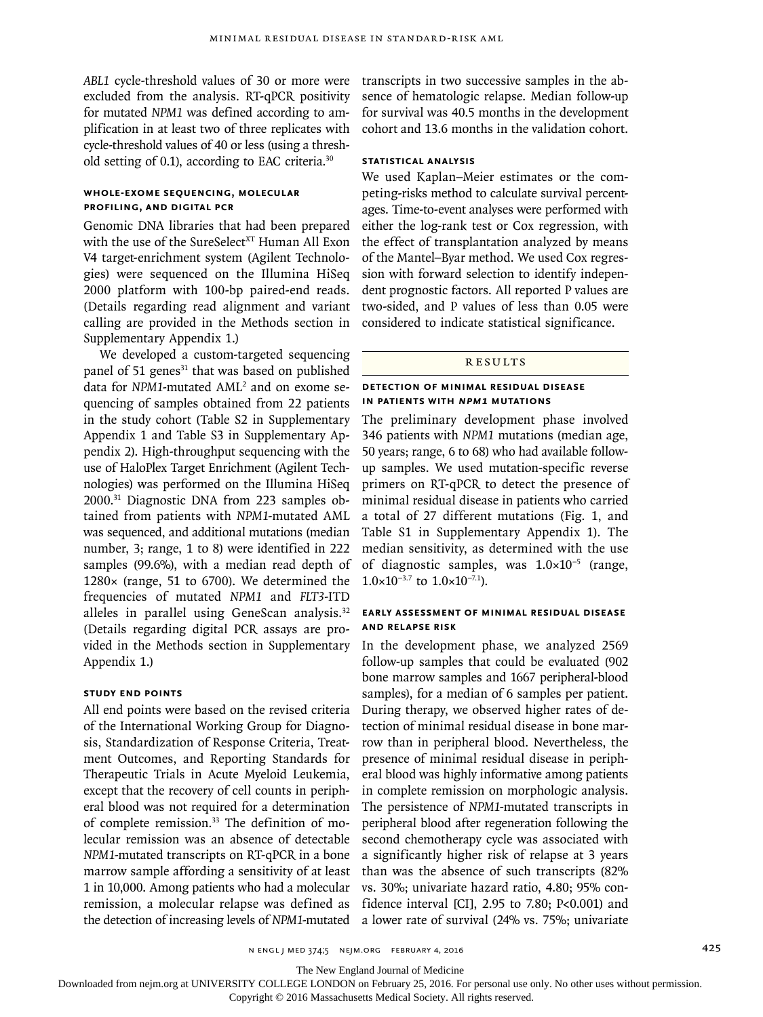*ABL1* cycle-threshold values of 30 or more were excluded from the analysis. RT-qPCR positivity for mutated *NPM1* was defined according to amplification in at least two of three replicates with cycle-threshold values of 40 or less (using a threshold setting of 0.1), according to EAC criteria.30

# **Whole-Exome Sequencing, Molecular Profiling, and Digital PCR**

Genomic DNA libraries that had been prepared with the use of the SureSelect<sup>XT</sup> Human All Exon V4 target-enrichment system (Agilent Technologies) were sequenced on the Illumina HiSeq 2000 platform with 100-bp paired-end reads. (Details regarding read alignment and variant calling are provided in the Methods section in Supplementary Appendix 1.)

We developed a custom-targeted sequencing panel of 51 genes $31$  that was based on published data for NPM1-mutated AML<sup>2</sup> and on exome sequencing of samples obtained from 22 patients in the study cohort (Table S2 in Supplementary Appendix 1 and Table S3 in Supplementary Appendix 2). High-throughput sequencing with the use of HaloPlex Target Enrichment (Agilent Technologies) was performed on the Illumina HiSeq 2000.31 Diagnostic DNA from 223 samples obtained from patients with *NPM1*-mutated AML was sequenced, and additional mutations (median number, 3; range, 1 to 8) were identified in 222 samples (99.6%), with a median read depth of 1280× (range, 51 to 6700). We determined the frequencies of mutated *NPM1* and *FLT3*-ITD alleles in parallel using GeneScan analysis.<sup>32</sup> (Details regarding digital PCR assays are provided in the Methods section in Supplementary Appendix 1.)

# **Study End Points**

All end points were based on the revised criteria of the International Working Group for Diagnosis, Standardization of Response Criteria, Treatment Outcomes, and Reporting Standards for Therapeutic Trials in Acute Myeloid Leukemia, except that the recovery of cell counts in peripheral blood was not required for a determination of complete remission.<sup>33</sup> The definition of molecular remission was an absence of detectable *NPM1*-mutated transcripts on RT-qPCR in a bone marrow sample affording a sensitivity of at least 1 in 10,000. Among patients who had a molecular remission, a molecular relapse was defined as the detection of increasing levels of *NPM1*-mutated transcripts in two successive samples in the absence of hematologic relapse. Median follow-up for survival was 40.5 months in the development cohort and 13.6 months in the validation cohort.

# **Statistical Analysis**

We used Kaplan–Meier estimates or the competing-risks method to calculate survival percentages. Time-to-event analyses were performed with either the log-rank test or Cox regression, with the effect of transplantation analyzed by means of the Mantel–Byar method. We used Cox regression with forward selection to identify independent prognostic factors. All reported P values are two-sided, and P values of less than 0.05 were considered to indicate statistical significance.

# **RESULTS**

# **Detection of Minimal Residual Disease in Patients with** *NPM1* **Mutations**

The preliminary development phase involved 346 patients with *NPM1* mutations (median age, 50 years; range, 6 to 68) who had available followup samples. We used mutation-specific reverse primers on RT-qPCR to detect the presence of minimal residual disease in patients who carried a total of 27 different mutations (Fig. 1, and Table S1 in Supplementary Appendix 1). The median sensitivity, as determined with the use of diagnostic samples, was 1.0×10−5 (range,  $1.0\times10^{-3.7}$  to  $1.0\times10^{-7.1}$ ).

# **Early Assessment of Minimal Residual Disease and Relapse Risk**

In the development phase, we analyzed 2569 follow-up samples that could be evaluated (902 bone marrow samples and 1667 peripheral-blood samples), for a median of 6 samples per patient. During therapy, we observed higher rates of detection of minimal residual disease in bone marrow than in peripheral blood. Nevertheless, the presence of minimal residual disease in peripheral blood was highly informative among patients in complete remission on morphologic analysis. The persistence of *NPM1*-mutated transcripts in peripheral blood after regeneration following the second chemotherapy cycle was associated with a significantly higher risk of relapse at 3 years than was the absence of such transcripts (82% vs. 30%; univariate hazard ratio, 4.80; 95% confidence interval [CI], 2.95 to 7.80; P<0.001) and a lower rate of survival (24% vs. 75%; univariate

n engl j med 374;5 nejm.org February 4, 2016 425

The New England Journal of Medicine

Downloaded from nejm.org at UNIVERSITY COLLEGE LONDON on February 25, 2016. For personal use only. No other uses without permission.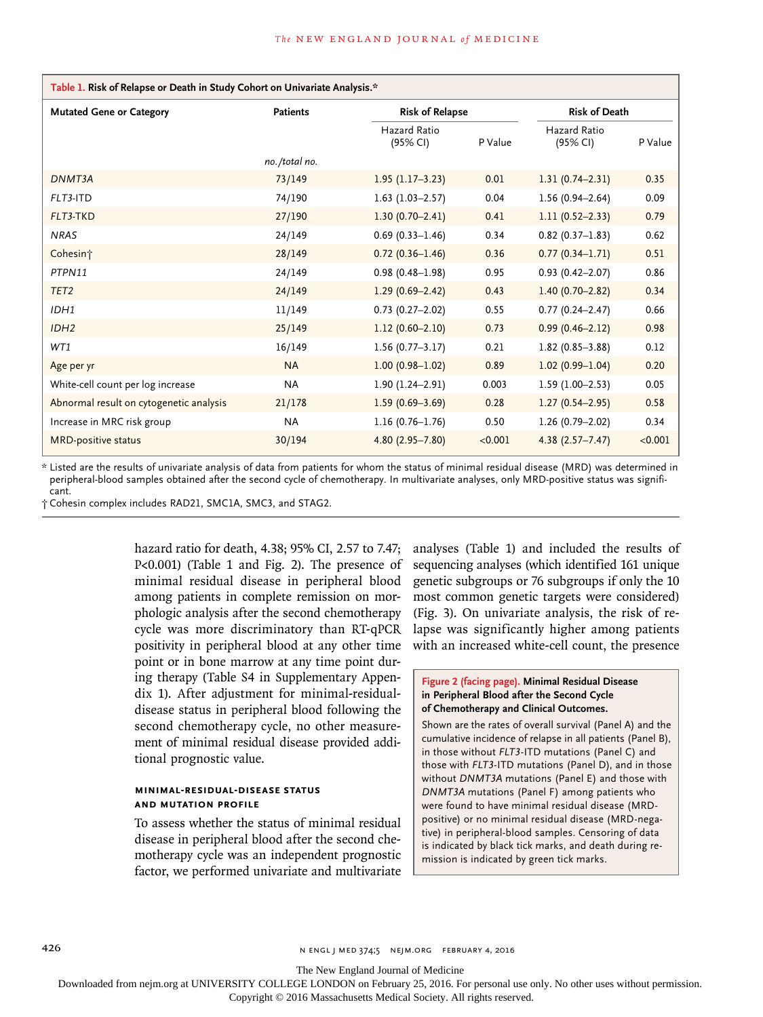| Table 1. Risk of Relapse or Death in Study Cohort on Univariate Analysis.* |                 |                          |         |                          |         |
|----------------------------------------------------------------------------|-----------------|--------------------------|---------|--------------------------|---------|
| <b>Mutated Gene or Category</b>                                            | <b>Patients</b> | <b>Risk of Relapse</b>   |         | <b>Risk of Death</b>     |         |
|                                                                            |                 | Hazard Ratio<br>(95% CI) | P Value | Hazard Ratio<br>(95% CI) | P Value |
|                                                                            | no./total no.   |                          |         |                          |         |
| DNMT3A                                                                     | 73/149          | $1.95(1.17-3.23)$        | 0.01    | $1.31(0.74 - 2.31)$      | 0.35    |
| FLT3-ITD                                                                   | 74/190          | $1.63$ (1.03-2.57)       | 0.04    | $1.56(0.94 - 2.64)$      | 0.09    |
| FLT3-TKD                                                                   | 27/190          | $1.30(0.70 - 2.41)$      | 0.41    | $1.11(0.52 - 2.33)$      | 0.79    |
| <b>NRAS</b>                                                                | 24/149          | $0.69(0.33 - 1.46)$      | 0.34    | $0.82$ (0.37-1.83)       | 0.62    |
| Cohesin <sup>+</sup>                                                       | 28/149          | $0.72(0.36 - 1.46)$      | 0.36    | $0.77(0.34 - 1.71)$      | 0.51    |
| PTPN11                                                                     | 24/149          | $0.98(0.48 - 1.98)$      | 0.95    | $0.93$ $(0.42 - 2.07)$   | 0.86    |
| TET <sub>2</sub>                                                           | 24/149          | $1.29(0.69 - 2.42)$      | 0.43    | $1.40(0.70 - 2.82)$      | 0.34    |
| IDH1                                                                       | 11/149          | $0.73$ $(0.27 - 2.02)$   | 0.55    | $0.77(0.24 - 2.47)$      | 0.66    |
| IDH <sub>2</sub>                                                           | 25/149          | $1.12(0.60 - 2.10)$      | 0.73    | $0.99(0.46 - 2.12)$      | 0.98    |
| WT1                                                                        | 16/149          | $1.56(0.77-3.17)$        | 0.21    | $1.82(0.85 - 3.88)$      | 0.12    |
| Age per yr                                                                 | <b>NA</b>       | $1.00(0.98 - 1.02)$      | 0.89    | $1.02(0.99 - 1.04)$      | 0.20    |
| White-cell count per log increase                                          | <b>NA</b>       | $1.90(1.24 - 2.91)$      | 0.003   | $1.59(1.00 - 2.53)$      | 0.05    |
| Abnormal result on cytogenetic analysis                                    | 21/178          | $1.59(0.69 - 3.69)$      | 0.28    | $1.27(0.54 - 2.95)$      | 0.58    |
| Increase in MRC risk group                                                 | <b>NA</b>       | $1.16(0.76 - 1.76)$      | 0.50    | $1.26(0.79 - 2.02)$      | 0.34    |
| <b>MRD-positive status</b>                                                 | 30/194          | $4.80(2.95 - 7.80)$      | < 0.001 | $4.38(2.57 - 7.47)$      | < 0.001 |

\* Listed are the results of univariate analysis of data from patients for whom the status of minimal residual disease (MRD) was determined in peripheral-blood samples obtained after the second cycle of chemotherapy. In multivariate analyses, only MRD-positive status was significant.

† Cohesin complex includes RAD21, SMC1A, SMC3, and STAG2.

hazard ratio for death, 4.38; 95% CI, 2.57 to 7.47; P<0.001) (Table 1 and Fig. 2). The presence of minimal residual disease in peripheral blood among patients in complete remission on morphologic analysis after the second chemotherapy cycle was more discriminatory than RT-qPCR positivity in peripheral blood at any other time point or in bone marrow at any time point during therapy (Table S4 in Supplementary Appendix 1). After adjustment for minimal-residualdisease status in peripheral blood following the second chemotherapy cycle, no other measurement of minimal residual disease provided additional prognostic value.

# **Minimal-Residual-Disease Status and Mutation Profile**

To assess whether the status of minimal residual disease in peripheral blood after the second chemotherapy cycle was an independent prognostic factor, we performed univariate and multivariate

analyses (Table 1) and included the results of sequencing analyses (which identified 161 unique genetic subgroups or 76 subgroups if only the 10 most common genetic targets were considered) (Fig. 3). On univariate analysis, the risk of relapse was significantly higher among patients with an increased white-cell count, the presence

# **Figure 2 (facing page). Minimal Residual Disease in Peripheral Blood after the Second Cycle of Chemotherapy and Clinical Outcomes.**

Shown are the rates of overall survival (Panel A) and the cumulative incidence of relapse in all patients (Panel B), in those without *FLT3*-ITD mutations (Panel C) and those with *FLT3*-ITD mutations (Panel D), and in those without *DNMT3A* mutations (Panel E) and those with *DNMT3A* mutations (Panel F) among patients who were found to have minimal residual disease (MRDpositive) or no minimal residual disease (MRD-negative) in peripheral-blood samples. Censoring of data is indicated by black tick marks, and death during remission is indicated by green tick marks.

426 **n Eugene 2018** n ENGL J MED 374;5 NEIM.ORG FEBRUARY 4, 2016

The New England Journal of Medicine

Downloaded from nejm.org at UNIVERSITY COLLEGE LONDON on February 25, 2016. For personal use only. No other uses without permission.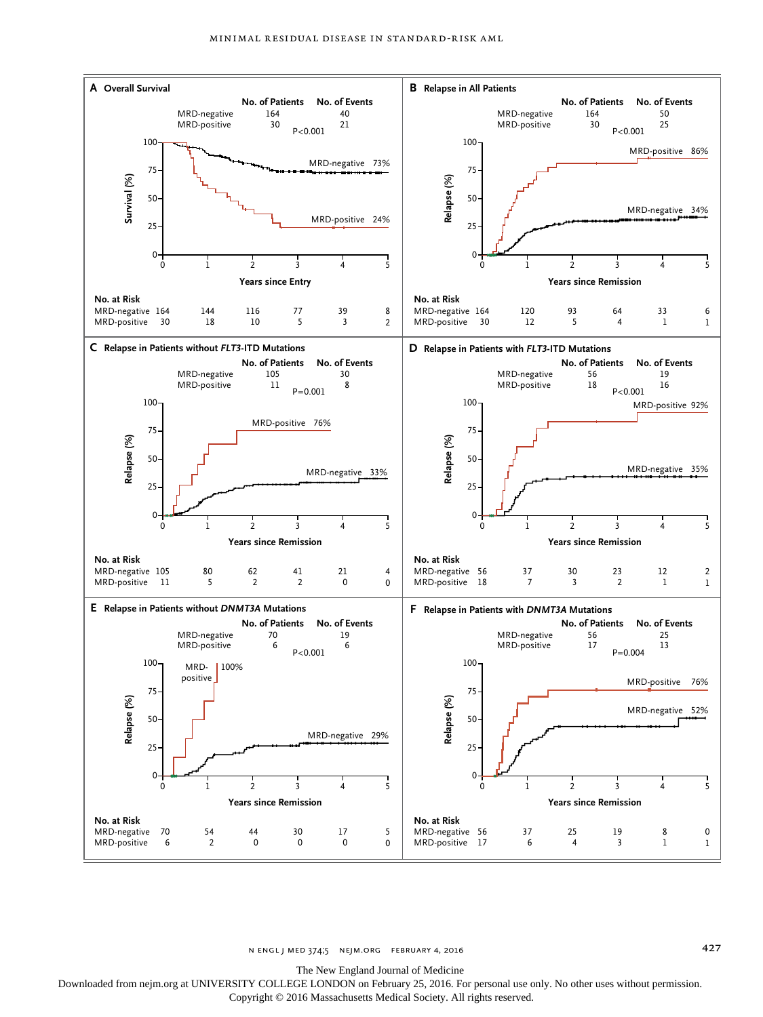

n engl j med 374;5 nejm.org February 4, 2016 427

The New England Journal of Medicine

Downloaded from nejm.org at UNIVERSITY COLLEGE LONDON on February 25, 2016. For personal use only. No other uses without permission.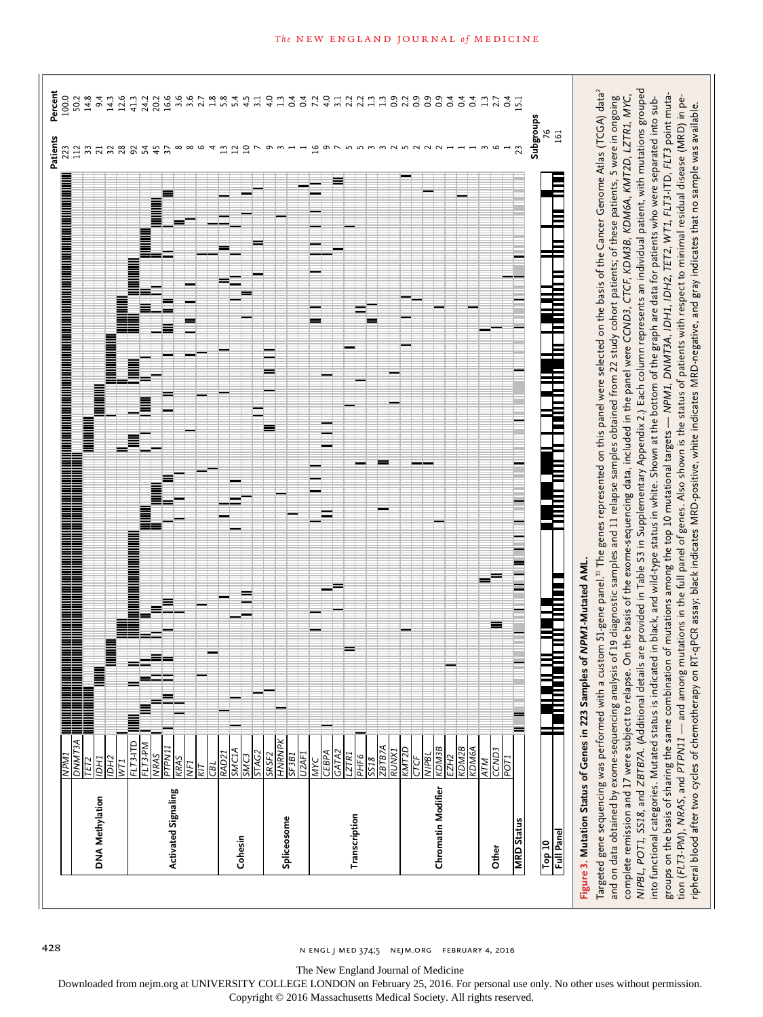

428 n engl j med 374;5 nejm.org February 4, 2016

The New England Journal of Medicine

Downloaded from nejm.org at UNIVERSITY COLLEGE LONDON on February 25, 2016. For personal use only. No other uses without permission.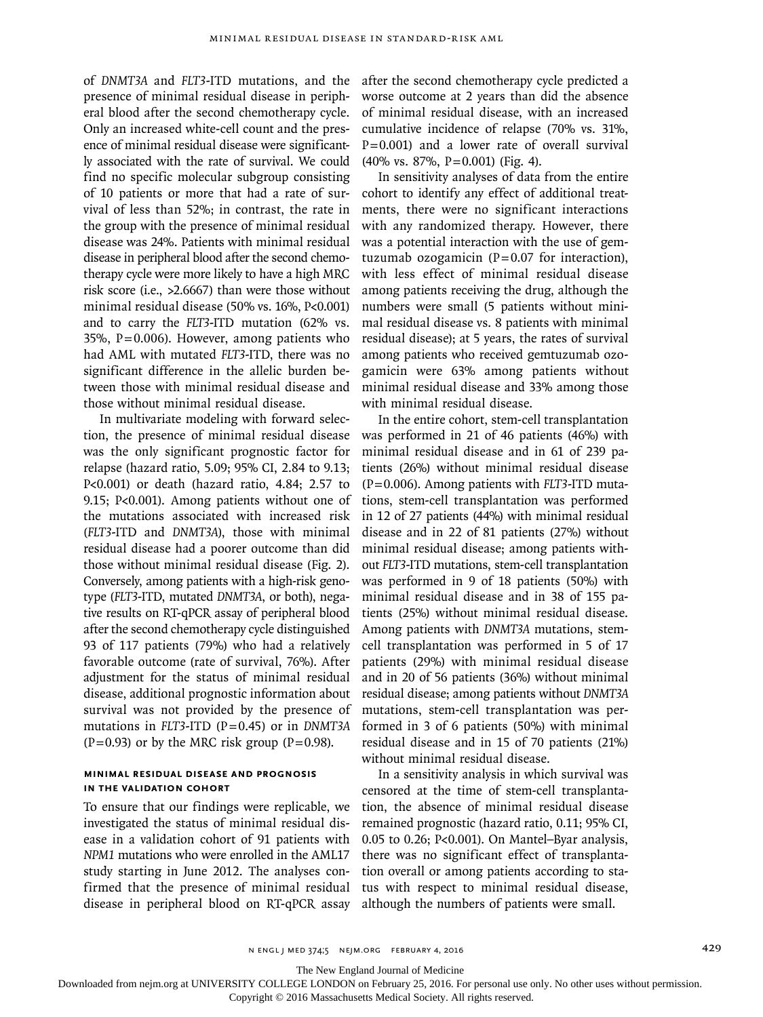of *DNMT3A* and *FLT3*-ITD mutations, and the presence of minimal residual disease in peripheral blood after the second chemotherapy cycle. Only an increased white-cell count and the presence of minimal residual disease were significantly associated with the rate of survival. We could find no specific molecular subgroup consisting of 10 patients or more that had a rate of survival of less than 52%; in contrast, the rate in the group with the presence of minimal residual disease was 24%. Patients with minimal residual disease in peripheral blood after the second chemotherapy cycle were more likely to have a high MRC risk score (i.e., >2.6667) than were those without minimal residual disease (50% vs. 16%, P<0.001) and to carry the *FLT3*-ITD mutation (62% vs.  $35\%$ , P=0.006). However, among patients who had AML with mutated *FLT3*-ITD, there was no significant difference in the allelic burden between those with minimal residual disease and those without minimal residual disease.

In multivariate modeling with forward selection, the presence of minimal residual disease was the only significant prognostic factor for relapse (hazard ratio, 5.09; 95% CI, 2.84 to 9.13; P<0.001) or death (hazard ratio, 4.84; 2.57 to 9.15; P<0.001). Among patients without one of the mutations associated with increased risk (*FLT3*-ITD and *DNMT3A*), those with minimal residual disease had a poorer outcome than did those without minimal residual disease (Fig. 2). Conversely, among patients with a high-risk genotype (*FLT3*-ITD, mutated *DNMT3A*, or both), negative results on RT-qPCR assay of peripheral blood after the second chemotherapy cycle distinguished 93 of 117 patients (79%) who had a relatively favorable outcome (rate of survival, 76%). After adjustment for the status of minimal residual disease, additional prognostic information about survival was not provided by the presence of mutations in *FLT3*-ITD (P=0.45) or in *DNMT3A*  $(P=0.93)$  or by the MRC risk group  $(P=0.98)$ .

# **Minimal Residual Disease and Prognosis in the Validation Cohort**

To ensure that our findings were replicable, we investigated the status of minimal residual disease in a validation cohort of 91 patients with *NPM1* mutations who were enrolled in the AML17 study starting in June 2012. The analyses confirmed that the presence of minimal residual disease in peripheral blood on RT-qPCR assay

after the second chemotherapy cycle predicted a worse outcome at 2 years than did the absence of minimal residual disease, with an increased cumulative incidence of relapse (70% vs. 31%, P=0.001) and a lower rate of overall survival (40% vs. 87%, P=0.001) (Fig. 4).

In sensitivity analyses of data from the entire cohort to identify any effect of additional treatments, there were no significant interactions with any randomized therapy. However, there was a potential interaction with the use of gemtuzumab ozogamicin  $(P=0.07$  for interaction), with less effect of minimal residual disease among patients receiving the drug, although the numbers were small (5 patients without minimal residual disease vs. 8 patients with minimal residual disease); at 5 years, the rates of survival among patients who received gemtuzumab ozogamicin were 63% among patients without minimal residual disease and 33% among those with minimal residual disease.

In the entire cohort, stem-cell transplantation was performed in 21 of 46 patients (46%) with minimal residual disease and in 61 of 239 patients (26%) without minimal residual disease (P=0.006). Among patients with *FLT3*-ITD mutations, stem-cell transplantation was performed in 12 of 27 patients (44%) with minimal residual disease and in 22 of 81 patients (27%) without minimal residual disease; among patients without *FLT3*-ITD mutations, stem-cell transplantation was performed in 9 of 18 patients (50%) with minimal residual disease and in 38 of 155 patients (25%) without minimal residual disease. Among patients with *DNMT3A* mutations, stemcell transplantation was performed in 5 of 17 patients (29%) with minimal residual disease and in 20 of 56 patients (36%) without minimal residual disease; among patients without *DNMT3A* mutations, stem-cell transplantation was performed in 3 of 6 patients (50%) with minimal residual disease and in 15 of 70 patients (21%) without minimal residual disease.

In a sensitivity analysis in which survival was censored at the time of stem-cell transplantation, the absence of minimal residual disease remained prognostic (hazard ratio, 0.11; 95% CI, 0.05 to 0.26; P<0.001). On Mantel–Byar analysis, there was no significant effect of transplantation overall or among patients according to status with respect to minimal residual disease, although the numbers of patients were small.

The New England Journal of Medicine

Downloaded from nejm.org at UNIVERSITY COLLEGE LONDON on February 25, 2016. For personal use only. No other uses without permission.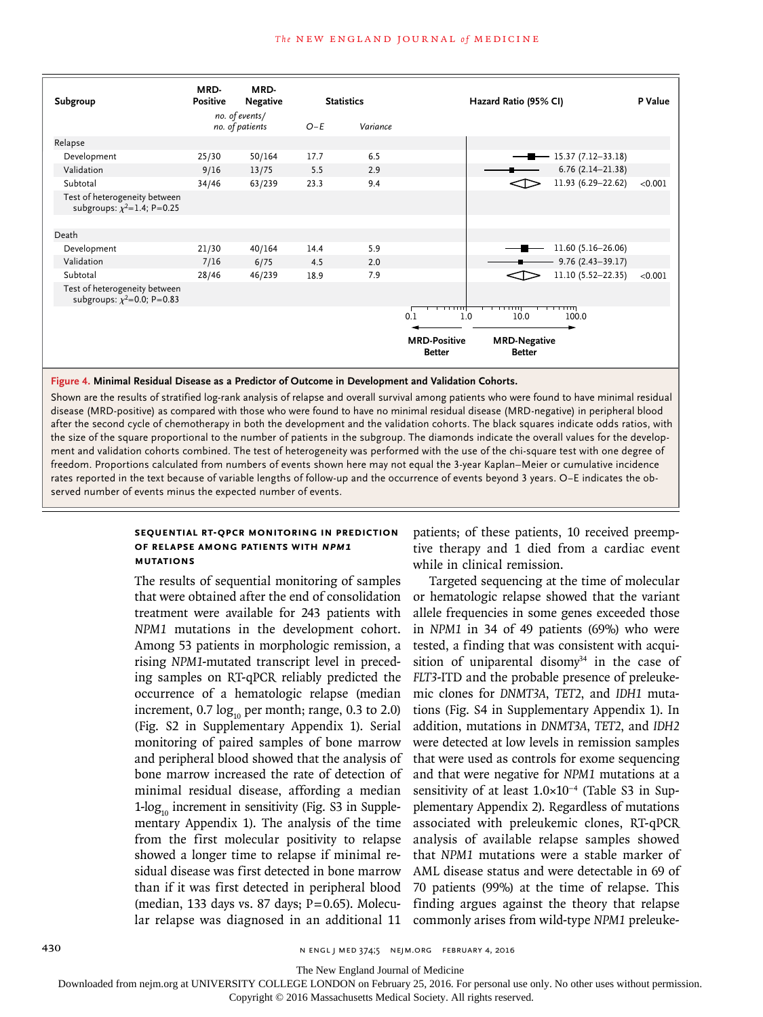

**Figure 4. Minimal Residual Disease as a Predictor of Outcome in Development and Validation Cohorts.**

Shown are the results of stratified log-rank analysis of relapse and overall survival among patients who were found to have minimal residual disease (MRD-positive) as compared with those who were found to have no minimal residual disease (MRD-negative) in peripheral blood after the second cycle of chemotherapy in both the development and the validation cohorts. The black squares indicate odds ratios, with the size of the square proportional to the number of patients in the subgroup. The diamonds indicate the overall values for the development and validation cohorts combined. The test of heterogeneity was performed with the use of the chi-square test with one degree of freedom. Proportions calculated from numbers of events shown here may not equal the 3-year Kaplan–Meier or cumulative incidence rates reported in the text because of variable lengths of follow-up and the occurrence of events beyond 3 years. O−E indicates the observed number of events minus the expected number of events.

## **Sequential RT-qPCR Monitoring in Prediction of Relapse among Patients with** *NPM1* **Mutations**

The results of sequential monitoring of samples that were obtained after the end of consolidation treatment were available for 243 patients with *NPM1* mutations in the development cohort. Among 53 patients in morphologic remission, a rising *NPM1*-mutated transcript level in preceding samples on RT-qPCR reliably predicted the occurrence of a hematologic relapse (median increment,  $0.7 \log_{10}$  per month; range, 0.3 to 2.0) (Fig. S2 in Supplementary Appendix 1). Serial monitoring of paired samples of bone marrow and peripheral blood showed that the analysis of bone marrow increased the rate of detection of minimal residual disease, affording a median  $1$ -log<sub>10</sub> increment in sensitivity (Fig. S3 in Supplementary Appendix 1). The analysis of the time from the first molecular positivity to relapse showed a longer time to relapse if minimal residual disease was first detected in bone marrow than if it was first detected in peripheral blood (median, 133 days vs. 87 days;  $P=0.65$ ). Molecular relapse was diagnosed in an additional 11

patients; of these patients, 10 received preemptive therapy and 1 died from a cardiac event while in clinical remission.

Targeted sequencing at the time of molecular or hematologic relapse showed that the variant allele frequencies in some genes exceeded those in *NPM1* in 34 of 49 patients (69%) who were tested, a finding that was consistent with acquisition of uniparental disomy $34$  in the case of *FLT3*-ITD and the probable presence of preleukemic clones for *DNMT3A*, *TET2*, and *IDH1* mutations (Fig. S4 in Supplementary Appendix 1). In addition, mutations in *DNMT3A*, *TET2*, and *IDH2* were detected at low levels in remission samples that were used as controls for exome sequencing and that were negative for *NPM1* mutations at a sensitivity of at least 1.0×10<sup>-4</sup> (Table S3 in Supplementary Appendix 2). Regardless of mutations associated with preleukemic clones, RT-qPCR analysis of available relapse samples showed that *NPM1* mutations were a stable marker of AML disease status and were detectable in 69 of 70 patients (99%) at the time of relapse. This finding argues against the theory that relapse commonly arises from wild-type *NPM1* preleuke-

430 **n Example 2016** n ENGL J MED 374;5 NEIM.ORG FEBRUARY 4, 2016

The New England Journal of Medicine

Downloaded from nejm.org at UNIVERSITY COLLEGE LONDON on February 25, 2016. For personal use only. No other uses without permission.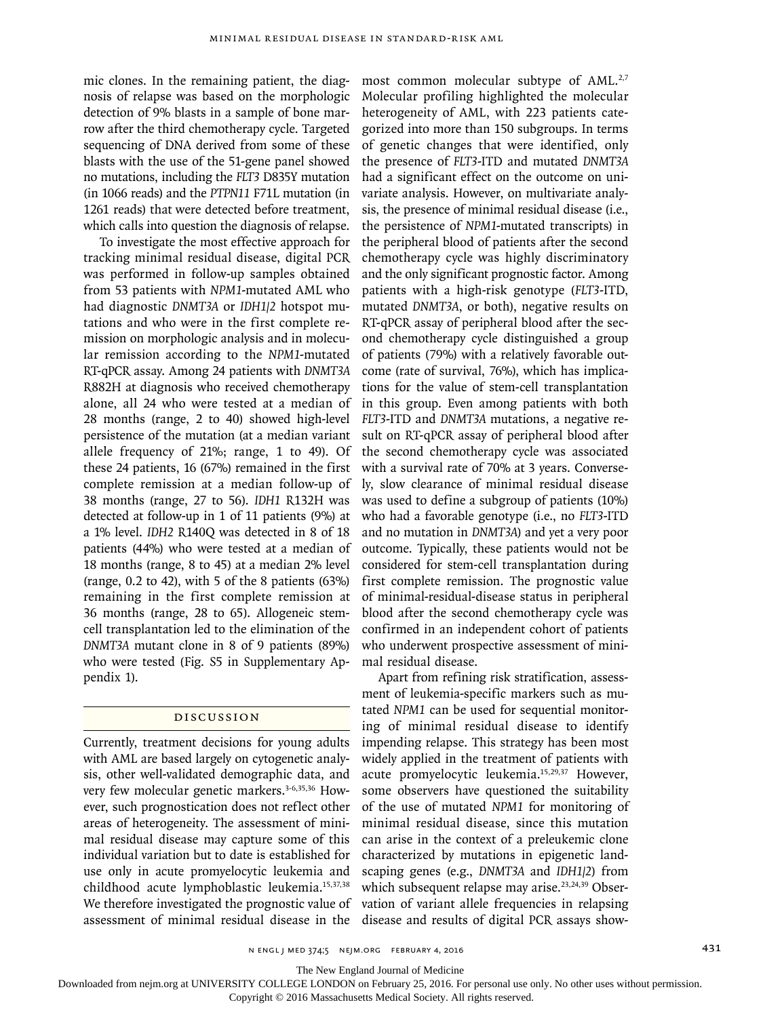mic clones. In the remaining patient, the diagnosis of relapse was based on the morphologic detection of 9% blasts in a sample of bone marrow after the third chemotherapy cycle. Targeted sequencing of DNA derived from some of these blasts with the use of the 51-gene panel showed no mutations, including the *FLT3* D835Y mutation (in 1066 reads) and the *PTPN11* F71L mutation (in 1261 reads) that were detected before treatment, which calls into question the diagnosis of relapse.

To investigate the most effective approach for tracking minimal residual disease, digital PCR was performed in follow-up samples obtained from 53 patients with *NPM1*-mutated AML who had diagnostic *DNMT3A* or *IDH1/2* hotspot mutations and who were in the first complete remission on morphologic analysis and in molecular remission according to the *NPM1*-mutated RT-qPCR assay. Among 24 patients with *DNMT3A* R882H at diagnosis who received chemotherapy alone, all 24 who were tested at a median of 28 months (range, 2 to 40) showed high-level persistence of the mutation (at a median variant allele frequency of 21%; range, 1 to 49). Of these 24 patients, 16 (67%) remained in the first complete remission at a median follow-up of 38 months (range, 27 to 56). *IDH1* R132H was detected at follow-up in 1 of 11 patients (9%) at a 1% level. *IDH2* R140Q was detected in 8 of 18 patients (44%) who were tested at a median of 18 months (range, 8 to 45) at a median 2% level (range, 0.2 to 42), with 5 of the 8 patients (63%) remaining in the first complete remission at 36 months (range, 28 to 65). Allogeneic stemcell transplantation led to the elimination of the *DNMT3A* mutant clone in 8 of 9 patients (89%) who were tested (Fig. S5 in Supplementary Appendix 1).

# Discussion

Currently, treatment decisions for young adults with AML are based largely on cytogenetic analysis, other well-validated demographic data, and very few molecular genetic markers.<sup>3-6,35,36</sup> However, such prognostication does not reflect other areas of heterogeneity. The assessment of minimal residual disease may capture some of this individual variation but to date is established for use only in acute promyelocytic leukemia and childhood acute lymphoblastic leukemia.15,37,38 We therefore investigated the prognostic value of assessment of minimal residual disease in the

most common molecular subtype of AML.<sup>2,7</sup> Molecular profiling highlighted the molecular heterogeneity of AML, with 223 patients categorized into more than 150 subgroups. In terms of genetic changes that were identified, only the presence of *FLT3*-ITD and mutated *DNMT3A* had a significant effect on the outcome on univariate analysis. However, on multivariate analysis, the presence of minimal residual disease (i.e., the persistence of *NPM1*-mutated transcripts) in the peripheral blood of patients after the second chemotherapy cycle was highly discriminatory and the only significant prognostic factor. Among patients with a high-risk genotype (*FLT3*-ITD, mutated *DNMT3A*, or both), negative results on RT-qPCR assay of peripheral blood after the second chemotherapy cycle distinguished a group of patients (79%) with a relatively favorable outcome (rate of survival, 76%), which has implications for the value of stem-cell transplantation in this group. Even among patients with both *FLT3*-ITD and *DNMT3A* mutations, a negative result on RT-qPCR assay of peripheral blood after the second chemotherapy cycle was associated with a survival rate of 70% at 3 years. Conversely, slow clearance of minimal residual disease was used to define a subgroup of patients (10%) who had a favorable genotype (i.e., no *FLT3*-ITD and no mutation in *DNMT3A*) and yet a very poor outcome. Typically, these patients would not be considered for stem-cell transplantation during first complete remission. The prognostic value of minimal-residual-disease status in peripheral blood after the second chemotherapy cycle was confirmed in an independent cohort of patients who underwent prospective assessment of minimal residual disease.

Apart from refining risk stratification, assessment of leukemia-specific markers such as mutated *NPM1* can be used for sequential monitoring of minimal residual disease to identify impending relapse. This strategy has been most widely applied in the treatment of patients with acute promyelocytic leukemia.15,29,37 However, some observers have questioned the suitability of the use of mutated *NPM1* for monitoring of minimal residual disease, since this mutation can arise in the context of a preleukemic clone characterized by mutations in epigenetic landscaping genes (e.g., *DNMT3A* and *IDH1/2*) from which subsequent relapse may arise.<sup>23,24,39</sup> Observation of variant allele frequencies in relapsing disease and results of digital PCR assays show-

n engl j med 374;5 nejm.org February 4, 2016 431

The New England Journal of Medicine

Downloaded from nejm.org at UNIVERSITY COLLEGE LONDON on February 25, 2016. For personal use only. No other uses without permission.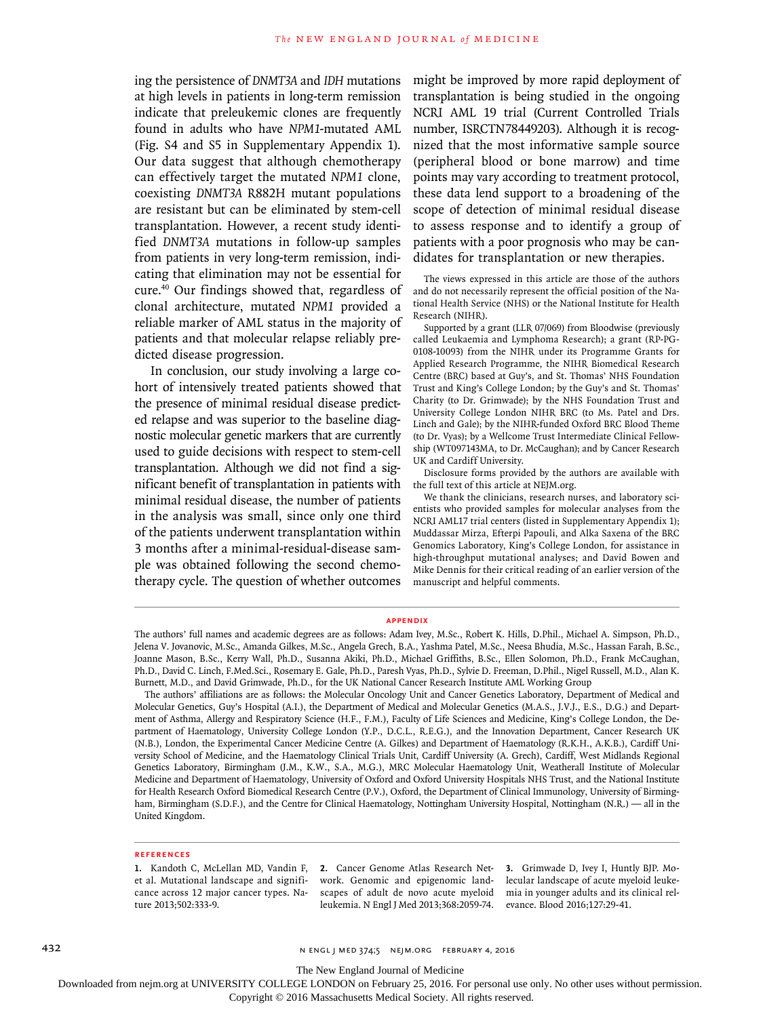ing the persistence of *DNMT3A* and *IDH* mutations at high levels in patients in long-term remission indicate that preleukemic clones are frequently found in adults who have *NPM1*-mutated AML (Fig. S4 and S5 in Supplementary Appendix 1). Our data suggest that although chemotherapy can effectively target the mutated *NPM1* clone, coexisting *DNMT3A* R882H mutant populations are resistant but can be eliminated by stem-cell transplantation. However, a recent study identified *DNMT3A* mutations in follow-up samples from patients in very long-term remission, indicating that elimination may not be essential for cure.40 Our findings showed that, regardless of clonal architecture, mutated *NPM1* provided a reliable marker of AML status in the majority of patients and that molecular relapse reliably predicted disease progression.

In conclusion, our study involving a large cohort of intensively treated patients showed that the presence of minimal residual disease predicted relapse and was superior to the baseline diagnostic molecular genetic markers that are currently used to guide decisions with respect to stem-cell transplantation. Although we did not find a significant benefit of transplantation in patients with minimal residual disease, the number of patients in the analysis was small, since only one third of the patients underwent transplantation within 3 months after a minimal-residual-disease sample was obtained following the second chemotherapy cycle. The question of whether outcomes

might be improved by more rapid deployment of transplantation is being studied in the ongoing NCRI AML 19 trial (Current Controlled Trials number, ISRCTN78449203). Although it is recognized that the most informative sample source (peripheral blood or bone marrow) and time points may vary according to treatment protocol, these data lend support to a broadening of the scope of detection of minimal residual disease to assess response and to identify a group of patients with a poor prognosis who may be candidates for transplantation or new therapies.

The views expressed in this article are those of the authors and do not necessarily represent the official position of the National Health Service (NHS) or the National Institute for Health Research (NIHR).

Supported by a grant (LLR 07/069) from Bloodwise (previously called Leukaemia and Lymphoma Research); a grant (RP-PG-0108-10093) from the NIHR under its Programme Grants for Applied Research Programme, the NIHR Biomedical Research Centre (BRC) based at Guy's, and St. Thomas' NHS Foundation Trust and King's College London; by the Guy's and St. Thomas' Charity (to Dr. Grimwade); by the NHS Foundation Trust and University College London NIHR BRC (to Ms. Patel and Drs. Linch and Gale); by the NIHR-funded Oxford BRC Blood Theme (to Dr. Vyas); by a Wellcome Trust Intermediate Clinical Fellowship (WT097143MA, to Dr. McCaughan); and by Cancer Research UK and Cardiff University.

Disclosure forms provided by the authors are available with the full text of this article at NEJM.org.

We thank the clinicians, research nurses, and laboratory scientists who provided samples for molecular analyses from the NCRI AML17 trial centers (listed in Supplementary Appendix 1); Muddassar Mirza, Efterpi Papouli, and Alka Saxena of the BRC Genomics Laboratory, King's College London, for assistance in high-throughput mutational analyses; and David Bowen and Mike Dennis for their critical reading of an earlier version of the manuscript and helpful comments.

#### **Appendix**

The authors' affiliations are as follows: the Molecular Oncology Unit and Cancer Genetics Laboratory, Department of Medical and Molecular Genetics, Guy's Hospital (A.I.), the Department of Medical and Molecular Genetics (M.A.S., J.V.J., E.S., D.G.) and Department of Asthma, Allergy and Respiratory Science (H.F., F.M.), Faculty of Life Sciences and Medicine, King's College London, the Department of Haematology, University College London (Y.P., D.C.L., R.E.G.), and the Innovation Department, Cancer Research UK (N.B.), London, the Experimental Cancer Medicine Centre (A. Gilkes) and Department of Haematology (R.K.H., A.K.B.), Cardiff University School of Medicine, and the Haematology Clinical Trials Unit, Cardiff University (A. Grech), Cardiff, West Midlands Regional Genetics Laboratory, Birmingham (J.M., K.W., S.A., M.G.), MRC Molecular Haematology Unit, Weatherall Institute of Molecular Medicine and Department of Haematology, University of Oxford and Oxford University Hospitals NHS Trust, and the National Institute for Health Research Oxford Biomedical Research Centre (P.V.), Oxford, the Department of Clinical Immunology, University of Birmingham, Birmingham (S.D.F.), and the Centre for Clinical Haematology, Nottingham University Hospital, Nottingham (N.R.) — all in the United Kingdom.

#### **References**

**1.** Kandoth C, McLellan MD, Vandin F, et al. Mutational landscape and significance across 12 major cancer types. Nature 2013;502:333-9.

**2.** Cancer Genome Atlas Research Network. Genomic and epigenomic landscapes of adult de novo acute myeloid leukemia. N Engl J Med 2013;368:2059-74.

**3.** Grimwade D, Ivey I, Huntly BJP. Molecular landscape of acute myeloid leukemia in younger adults and its clinical relevance. Blood 2016;127:29-41.

432 **n engl j med 374;5 nejm.org FEBRUARY 4, 2016** n engl j med 374;5 nejm.org FEBRUARY 4, 2016

The New England Journal of Medicine

Downloaded from nejm.org at UNIVERSITY COLLEGE LONDON on February 25, 2016. For personal use only. No other uses without permission.

The authors' full names and academic degrees are as follows: Adam Ivey, M.Sc., Robert K. Hills, D.Phil., Michael A. Simpson, Ph.D., Jelena V. Jovanovic, M.Sc., Amanda Gilkes, M.Sc., Angela Grech, B.A., Yashma Patel, M.Sc., Neesa Bhudia, M.Sc., Hassan Farah, B.Sc., Joanne Mason, B.Sc., Kerry Wall, Ph.D., Susanna Akiki, Ph.D., Michael Griffiths, B.Sc., Ellen Solomon, Ph.D., Frank McCaughan, Ph.D., David C. Linch, F.Med.Sci., Rosemary E. Gale, Ph.D., Paresh Vyas, Ph.D., Sylvie D. Freeman, D.Phil., Nigel Russell, M.D., Alan K. Burnett, M.D., and David Grimwade, Ph.D., for the UK National Cancer Research Institute AML Working Group